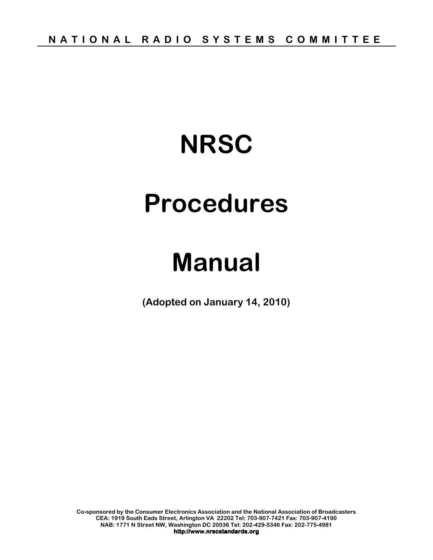# **NRSC**

# **Procedures**

# **Manual**

**(Adopted on January 14, 2010)** 

**Co-sponsored by the Consumer Electronics Association and the National Association of Broadcasters CEA: 1919 South Eads Street, Arlington VA 22202 Tel: 703-907-7421 Fax: 703-907-4190 NAB: 1771 N Street NW, Washington DC 20036 Tel: 202-429-5346 Fax: 202-775-4981 http://www.nrscstandards.org**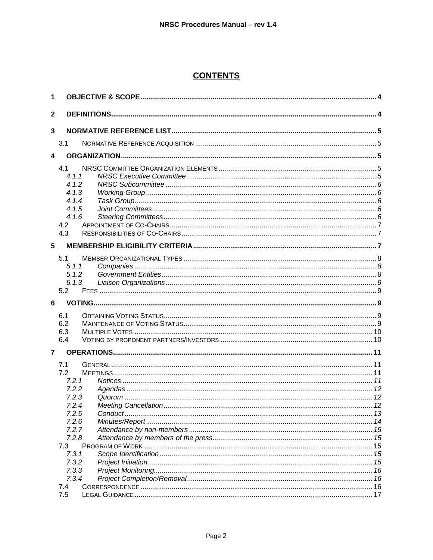# **CONTENTS**

| 1            |                |  |
|--------------|----------------|--|
| $\mathbf{2}$ |                |  |
| $\mathbf{3}$ |                |  |
|              | 3.1            |  |
| 4            |                |  |
|              |                |  |
|              | 4.1<br>4.1.1   |  |
|              | 4.1.2          |  |
|              | 4.1.3          |  |
|              | 4.1.4          |  |
|              | 4.1.5          |  |
|              | 4.1.6          |  |
|              | 4.2<br>4.3     |  |
|              |                |  |
| 5            |                |  |
|              | 5.1            |  |
|              | 5.1.1          |  |
|              | 5.1.2          |  |
|              | 5.1.3<br>5.2   |  |
|              |                |  |
|              |                |  |
| 6            |                |  |
|              | 6.1            |  |
|              | 6.2            |  |
|              | 6.3            |  |
|              | 6.4            |  |
| 7            |                |  |
|              | 7.1            |  |
|              | 7.2            |  |
|              | 7.2.1          |  |
|              | 7.2.2          |  |
|              | 7.2.3          |  |
|              | 7.2.4          |  |
|              | 7.2.5<br>7.2.6 |  |
|              | 7.2.7          |  |
|              | 7.2.8          |  |
|              | 7.3            |  |
|              | 7.3.1          |  |
|              | 7.3.2          |  |
|              | 7.3.3          |  |
|              | 7.3.4<br>7.4   |  |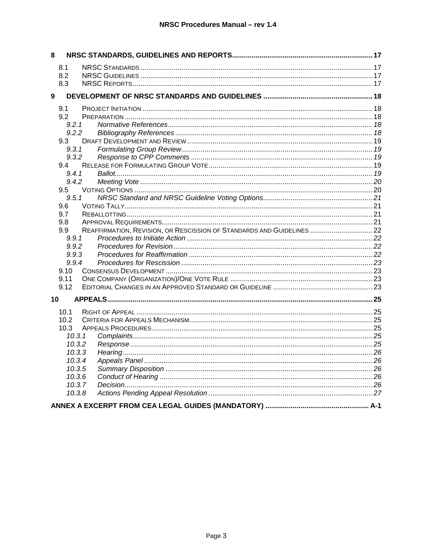| 8                 |                                                                        |  |
|-------------------|------------------------------------------------------------------------|--|
| 8.1               |                                                                        |  |
| 8.2               |                                                                        |  |
| 8.3               |                                                                        |  |
| 9                 |                                                                        |  |
| 9.1               |                                                                        |  |
| 9.2               |                                                                        |  |
| 9.2.1             |                                                                        |  |
| 9.2.2             |                                                                        |  |
| 9.3               |                                                                        |  |
| 9.3.1             |                                                                        |  |
| 9.3.2             |                                                                        |  |
| 9.4               |                                                                        |  |
| 9.4.1             |                                                                        |  |
| 9.4.2             |                                                                        |  |
| $9.5^{\circ}$     |                                                                        |  |
| 9.5.1             |                                                                        |  |
| 9.6               |                                                                        |  |
| 9.7               |                                                                        |  |
| 9.8<br>9.9        | REAFFIRMATION, REVISION, OR RESCISSION OF STANDARDS AND GUIDELINES  22 |  |
| 9.9.1             |                                                                        |  |
| 9.9.2             |                                                                        |  |
| 9.9.3             |                                                                        |  |
| 9.9.4             |                                                                        |  |
| 9.10              |                                                                        |  |
| 9.11              |                                                                        |  |
| 9.12              |                                                                        |  |
| 10                |                                                                        |  |
| 10.1              |                                                                        |  |
| 10.2 <sub>2</sub> |                                                                        |  |
| 10.3              |                                                                        |  |
| 10.3.1            |                                                                        |  |
| 10.3.2            |                                                                        |  |
| 10.3.3            |                                                                        |  |
| 10.3.4            |                                                                        |  |
| 10.3.5            |                                                                        |  |
| 10.3.6            |                                                                        |  |
| 10.3.7            |                                                                        |  |
| 10.3.8            |                                                                        |  |
|                   |                                                                        |  |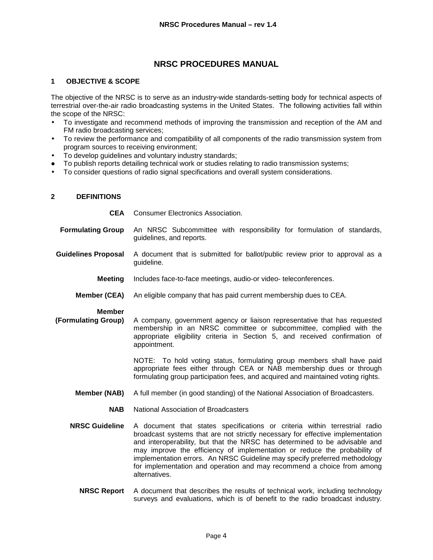# **NRSC PROCEDURES MANUAL**

# **1 OBJECTIVE & SCOPE**

The objective of the NRSC is to serve as an industry-wide standards-setting body for technical aspects of terrestrial over-the-air radio broadcasting systems in the United States. The following activities fall within the scope of the NRSC:

- To investigate and recommend methods of improving the transmission and reception of the AM and FM radio broadcasting services;
- To review the performance and compatibility of all components of the radio transmission system from program sources to receiving environment;
- To develop guidelines and voluntary industry standards;
- To publish reports detailing technical work or studies relating to radio transmission systems;
- To consider questions of radio signal specifications and overall system considerations.

#### **2 DEFINITIONS**

**CEA** Consumer Electronics Association.

- **Formulating Group** An NRSC Subcommittee with responsibility for formulation of standards, guidelines, and reports.
- **Guidelines Proposal** A document that is submitted for ballot/public review prior to approval as a guideline.
	- **Meeting** Includes face-to-face meetings, audio-or video- teleconferences.
	- **Member (CEA)** An eligible company that has paid current membership dues to CEA.

#### **Member**

 **(Formulating Group)** A company, government agency or liaison representative that has requested membership in an NRSC committee or subcommittee, complied with the appropriate eligibility criteria in Section 5, and received confirmation of appointment.

> NOTE: To hold voting status, formulating group members shall have paid appropriate fees either through CEA or NAB membership dues or through formulating group participation fees, and acquired and maintained voting rights.

- **Member (NAB)** A full member (in good standing) of the National Association of Broadcasters.
	- **NAB** National Association of Broadcasters
- **NRSC Guideline** A document that states specifications or criteria within terrestrial radio broadcast systems that are not strictly necessary for effective implementation and interoperability, but that the NRSC has determined to be advisable and may improve the efficiency of implementation or reduce the probability of implementation errors. An NRSC Guideline may specify preferred methodology for implementation and operation and may recommend a choice from among alternatives.
	- **NRSC Report** A document that describes the results of technical work, including technology surveys and evaluations, which is of benefit to the radio broadcast industry.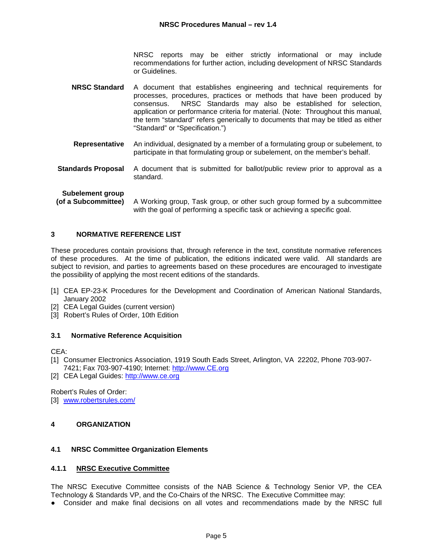NRSC reports may be either strictly informational or may include recommendations for further action, including development of NRSC Standards or Guidelines.

- **NRSC Standard** A document that establishes engineering and technical requirements for processes, procedures, practices or methods that have been produced by consensus. NRSC Standards may also be established for selection, application or performance criteria for material. (Note: Throughout this manual, the term "standard" refers generically to documents that may be titled as either "Standard" or "Specification.")
- **Representative** An individual, designated by a member of a formulating group or subelement, to participate in that formulating group or subelement, on the member's behalf.
- **Standards Proposal** A document that is submitted for ballot/public review prior to approval as a standard.

**Subelement group** 

 **(of a Subcommittee)** A Working group, Task group, or other such group formed by a subcommittee with the goal of performing a specific task or achieving a specific goal.

# **3 NORMATIVE REFERENCE LIST**

These procedures contain provisions that, through reference in the text, constitute normative references of these procedures. At the time of publication, the editions indicated were valid. All standards are subject to revision, and parties to agreements based on these procedures are encouraged to investigate the possibility of applying the most recent editions of the standards.

- [1] CEA EP-23-K Procedures for the Development and Coordination of American National Standards, January 2002
- [2] CEA Legal Guides (current version)
- [3] Robert's Rules of Order, 10th Edition

#### **3.1 Normative Reference Acquisition**

CEA:

- [1] Consumer Electronics Association, 1919 South Eads Street, Arlington, VA 22202, Phone 703-907- 7421; Fax 703-907-4190; Internet: http://www.CE.org
- [2] CEA Legal Guides: http://www.ce.org

Robert's Rules of Order:

[3] www.robertsrules.com/

#### **4 ORGANIZATION**

#### **4.1 NRSC Committee Organization Elements**

#### **4.1.1 NRSC Executive Committee**

The NRSC Executive Committee consists of the NAB Science & Technology Senior VP, the CEA Technology & Standards VP, and the Co-Chairs of the NRSC. The Executive Committee may:

● Consider and make final decisions on all votes and recommendations made by the NRSC full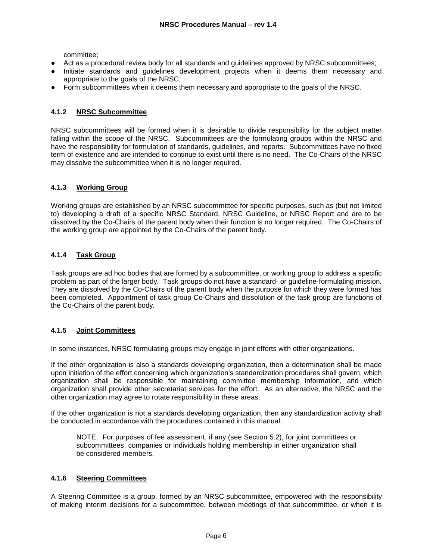committee;

- Act as a procedural review body for all standards and guidelines approved by NRSC subcommittees;
- Initiate standards and guidelines development projects when it deems them necessary and appropriate to the goals of the NRSC;
- Form subcommittees when it deems them necessary and appropriate to the goals of the NRSC.

# **4.1.2 NRSC Subcommittee**

NRSC subcommittees will be formed when it is desirable to divide responsibility for the subject matter falling within the scope of the NRSC. Subcommittees are the formulating groups within the NRSC and have the responsibility for formulation of standards, guidelines, and reports. Subcommittees have no fixed term of existence and are intended to continue to exist until there is no need. The Co-Chairs of the NRSC may dissolve the subcommittee when it is no longer required.

# **4.1.3 Working Group**

Working groups are established by an NRSC subcommittee for specific purposes, such as (but not limited to) developing a draft of a specific NRSC Standard, NRSC Guideline, or NRSC Report and are to be dissolved by the Co-Chairs of the parent body when their function is no longer required. The Co-Chairs of the working group are appointed by the Co-Chairs of the parent body.

# **4.1.4 Task Group**

Task groups are ad hoc bodies that are formed by a subcommittee, or working group to address a specific problem as part of the larger body. Task groups do not have a standard- or guideline-formulating mission. They are dissolved by the Co-Chairs of the parent body when the purpose for which they were formed has been completed. Appointment of task group Co-Chairs and dissolution of the task group are functions of the Co-Chairs of the parent body.

# **4.1.5 Joint Committees**

In some instances, NRSC formulating groups may engage in joint efforts with other organizations.

If the other organization is also a standards developing organization, then a determination shall be made upon initiation of the effort concerning which organization's standardization procedures shall govern, which organization shall be responsible for maintaining committee membership information, and which organization shall provide other secretariat services for the effort. As an alternative, the NRSC and the other organization may agree to rotate responsibility in these areas.

If the other organization is not a standards developing organization, then any standardization activity shall be conducted in accordance with the procedures contained in this manual.

NOTE: For purposes of fee assessment, if any (see Section 5.2), for joint committees or subcommittees, companies or individuals holding membership in either organization shall be considered members.

#### **4.1.6 Steering Committees**

A Steering Committee is a group, formed by an NRSC subcommittee, empowered with the responsibility of making interim decisions for a subcommittee, between meetings of that subcommittee, or when it is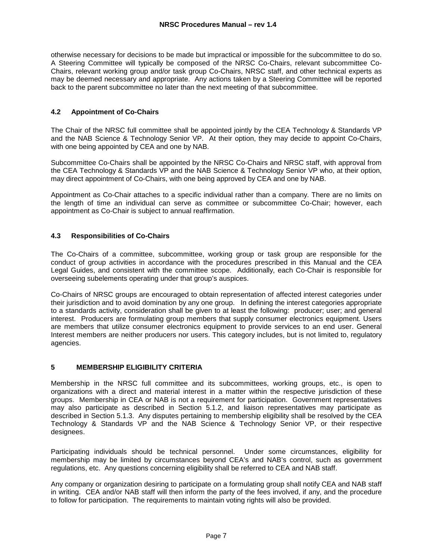otherwise necessary for decisions to be made but impractical or impossible for the subcommittee to do so. A Steering Committee will typically be composed of the NRSC Co-Chairs, relevant subcommittee Co-Chairs, relevant working group and/or task group Co-Chairs, NRSC staff, and other technical experts as may be deemed necessary and appropriate. Any actions taken by a Steering Committee will be reported back to the parent subcommittee no later than the next meeting of that subcommittee.

# **4.2 Appointment of Co-Chairs**

The Chair of the NRSC full committee shall be appointed jointly by the CEA Technology & Standards VP and the NAB Science & Technology Senior VP. At their option, they may decide to appoint Co-Chairs, with one being appointed by CEA and one by NAB.

Subcommittee Co-Chairs shall be appointed by the NRSC Co-Chairs and NRSC staff, with approval from the CEA Technology & Standards VP and the NAB Science & Technology Senior VP who, at their option, may direct appointment of Co-Chairs, with one being approved by CEA and one by NAB.

Appointment as Co-Chair attaches to a specific individual rather than a company. There are no limits on the length of time an individual can serve as committee or subcommittee Co-Chair; however, each appointment as Co-Chair is subject to annual reaffirmation.

# **4.3 Responsibilities of Co-Chairs**

The Co-Chairs of a committee, subcommittee, working group or task group are responsible for the conduct of group activities in accordance with the procedures prescribed in this Manual and the CEA Legal Guides, and consistent with the committee scope. Additionally, each Co-Chair is responsible for overseeing subelements operating under that group's auspices.

Co-Chairs of NRSC groups are encouraged to obtain representation of affected interest categories under their jurisdiction and to avoid domination by any one group. In defining the interest categories appropriate to a standards activity, consideration shall be given to at least the following: producer; user; and general interest. Producers are formulating group members that supply consumer electronics equipment. Users are members that utilize consumer electronics equipment to provide services to an end user. General Interest members are neither producers nor users. This category includes, but is not limited to, regulatory agencies.

# **5 MEMBERSHIP ELIGIBILITY CRITERIA**

Membership in the NRSC full committee and its subcommittees, working groups, etc., is open to organizations with a direct and material interest in a matter within the respective jurisdiction of these groups. Membership in CEA or NAB is not a requirement for participation. Government representatives may also participate as described in Section 5.1.2, and liaison representatives may participate as described in Section 5.1.3. Any disputes pertaining to membership eligibility shall be resolved by the CEA Technology & Standards VP and the NAB Science & Technology Senior VP, or their respective designees.

Participating individuals should be technical personnel. Under some circumstances, eligibility for membership may be limited by circumstances beyond CEA's and NAB's control, such as government regulations, etc. Any questions concerning eligibility shall be referred to CEA and NAB staff.

Any company or organization desiring to participate on a formulating group shall notify CEA and NAB staff in writing. CEA and/or NAB staff will then inform the party of the fees involved, if any, and the procedure to follow for participation. The requirements to maintain voting rights will also be provided.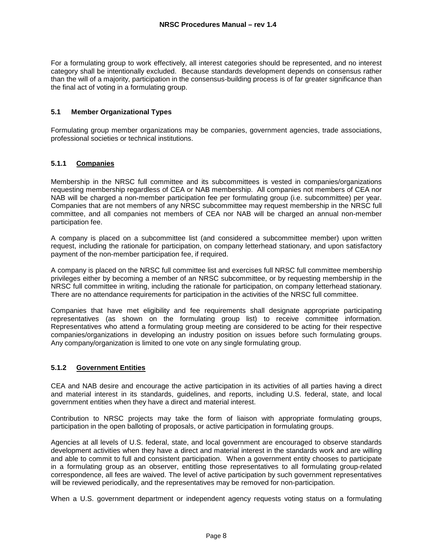For a formulating group to work effectively, all interest categories should be represented, and no interest category shall be intentionally excluded. Because standards development depends on consensus rather than the will of a majority, participation in the consensus-building process is of far greater significance than the final act of voting in a formulating group.

# **5.1 Member Organizational Types**

Formulating group member organizations may be companies, government agencies, trade associations, professional societies or technical institutions.

# **5.1.1 Companies**

Membership in the NRSC full committee and its subcommittees is vested in companies/organizations requesting membership regardless of CEA or NAB membership. All companies not members of CEA nor NAB will be charged a non-member participation fee per formulating group (i.e. subcommittee) per year. Companies that are not members of any NRSC subcommittee may request membership in the NRSC full committee, and all companies not members of CEA nor NAB will be charged an annual non-member participation fee.

A company is placed on a subcommittee list (and considered a subcommittee member) upon written request, including the rationale for participation, on company letterhead stationary, and upon satisfactory payment of the non-member participation fee, if required.

A company is placed on the NRSC full committee list and exercises full NRSC full committee membership privileges either by becoming a member of an NRSC subcommittee, or by requesting membership in the NRSC full committee in writing, including the rationale for participation, on company letterhead stationary. There are no attendance requirements for participation in the activities of the NRSC full committee.

Companies that have met eligibility and fee requirements shall designate appropriate participating representatives (as shown on the formulating group list) to receive committee information. Representatives who attend a formulating group meeting are considered to be acting for their respective companies/organizations in developing an industry position on issues before such formulating groups. Any company/organization is limited to one vote on any single formulating group.

#### **5.1.2 Government Entities**

CEA and NAB desire and encourage the active participation in its activities of all parties having a direct and material interest in its standards, guidelines, and reports, including U.S. federal, state, and local government entities when they have a direct and material interest.

Contribution to NRSC projects may take the form of liaison with appropriate formulating groups, participation in the open balloting of proposals, or active participation in formulating groups.

Agencies at all levels of U.S. federal, state, and local government are encouraged to observe standards development activities when they have a direct and material interest in the standards work and are willing and able to commit to full and consistent participation. When a government entity chooses to participate in a formulating group as an observer, entitling those representatives to all formulating group-related correspondence, all fees are waived. The level of active participation by such government representatives will be reviewed periodically, and the representatives may be removed for non-participation.

When a U.S. government department or independent agency requests voting status on a formulating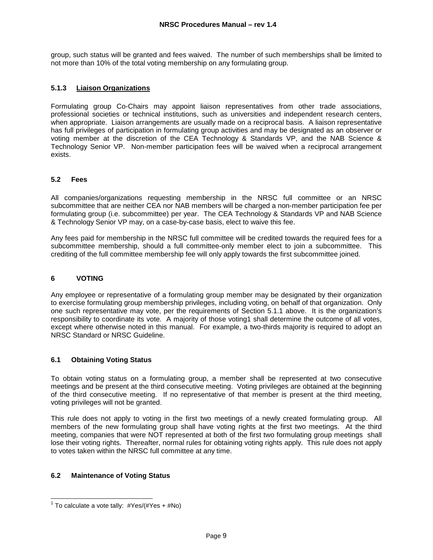group, such status will be granted and fees waived. The number of such memberships shall be limited to not more than 10% of the total voting membership on any formulating group.

# **5.1.3 Liaison Organizations**

Formulating group Co-Chairs may appoint liaison representatives from other trade associations, professional societies or technical institutions, such as universities and independent research centers, when appropriate. Liaison arrangements are usually made on a reciprocal basis. A liaison representative has full privileges of participation in formulating group activities and may be designated as an observer or voting member at the discretion of the CEA Technology & Standards VP, and the NAB Science & Technology Senior VP. Non-member participation fees will be waived when a reciprocal arrangement exists.

# **5.2 Fees**

All companies/organizations requesting membership in the NRSC full committee or an NRSC subcommittee that are neither CEA nor NAB members will be charged a non-member participation fee per formulating group (i.e. subcommittee) per year. The CEA Technology & Standards VP and NAB Science & Technology Senior VP may, on a case-by-case basis, elect to waive this fee.

Any fees paid for membership in the NRSC full committee will be credited towards the required fees for a subcommittee membership, should a full committee-only member elect to join a subcommittee. This crediting of the full committee membership fee will only apply towards the first subcommittee joined.

# **6 VOTING**

Any employee or representative of a formulating group member may be designated by their organization to exercise formulating group membership privileges, including voting, on behalf of that organization. Only one such representative may vote, per the requirements of Section 5.1.1 above. It is the organization's responsibility to coordinate its vote. A majority of those voting1 shall determine the outcome of all votes, except where otherwise noted in this manual. For example, a two-thirds majority is required to adopt an NRSC Standard or NRSC Guideline.

#### **6.1 Obtaining Voting Status**

To obtain voting status on a formulating group, a member shall be represented at two consecutive meetings and be present at the third consecutive meeting. Voting privileges are obtained at the beginning of the third consecutive meeting. If no representative of that member is present at the third meeting, voting privileges will not be granted.

This rule does not apply to voting in the first two meetings of a newly created formulating group. All members of the new formulating group shall have voting rights at the first two meetings. At the third meeting, companies that were NOT represented at both of the first two formulating group meetings shall lose their voting rights. Thereafter, normal rules for obtaining voting rights apply. This rule does not apply to votes taken within the NRSC full committee at any time.

# **6.2 Maintenance of Voting Status**

 1 To calculate a vote tally: #Yes/(#Yes + #No)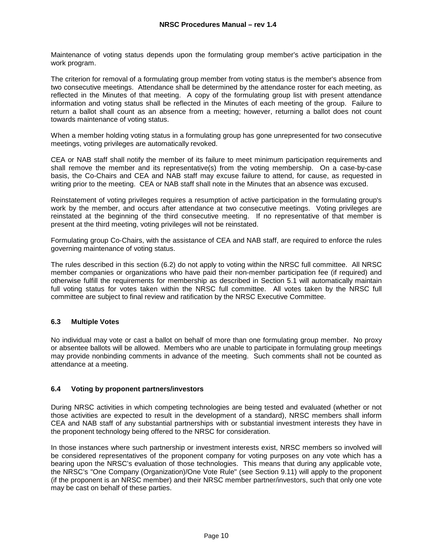Maintenance of voting status depends upon the formulating group member's active participation in the work program.

The criterion for removal of a formulating group member from voting status is the member's absence from two consecutive meetings. Attendance shall be determined by the attendance roster for each meeting, as reflected in the Minutes of that meeting. A copy of the formulating group list with present attendance information and voting status shall be reflected in the Minutes of each meeting of the group. Failure to return a ballot shall count as an absence from a meeting; however, returning a ballot does not count towards maintenance of voting status.

When a member holding voting status in a formulating group has gone unrepresented for two consecutive meetings, voting privileges are automatically revoked.

CEA or NAB staff shall notify the member of its failure to meet minimum participation requirements and shall remove the member and its representative(s) from the voting membership. On a case-by-case basis, the Co-Chairs and CEA and NAB staff may excuse failure to attend, for cause, as requested in writing prior to the meeting. CEA or NAB staff shall note in the Minutes that an absence was excused.

Reinstatement of voting privileges requires a resumption of active participation in the formulating group's work by the member, and occurs after attendance at two consecutive meetings. Voting privileges are reinstated at the beginning of the third consecutive meeting. If no representative of that member is present at the third meeting, voting privileges will not be reinstated.

Formulating group Co-Chairs, with the assistance of CEA and NAB staff, are required to enforce the rules governing maintenance of voting status.

The rules described in this section (6.2) do not apply to voting within the NRSC full committee. All NRSC member companies or organizations who have paid their non-member participation fee (if required) and otherwise fulfill the requirements for membership as described in Section 5.1 will automatically maintain full voting status for votes taken within the NRSC full committee. All votes taken by the NRSC full committee are subject to final review and ratification by the NRSC Executive Committee.

# **6.3 Multiple Votes**

No individual may vote or cast a ballot on behalf of more than one formulating group member. No proxy or absentee ballots will be allowed. Members who are unable to participate in formulating group meetings may provide nonbinding comments in advance of the meeting. Such comments shall not be counted as attendance at a meeting.

#### **6.4 Voting by proponent partners/investors**

During NRSC activities in which competing technologies are being tested and evaluated (whether or not those activities are expected to result in the development of a standard), NRSC members shall inform CEA and NAB staff of any substantial partnerships with or substantial investment interests they have in the proponent technology being offered to the NRSC for consideration.

In those instances where such partnership or investment interests exist, NRSC members so involved will be considered representatives of the proponent company for voting purposes on any vote which has a bearing upon the NRSC's evaluation of those technologies. This means that during any applicable vote, the NRSC's "One Company (Organization)/One Vote Rule" (see Section 9.11) will apply to the proponent (if the proponent is an NRSC member) and their NRSC member partner/investors, such that only one vote may be cast on behalf of these parties.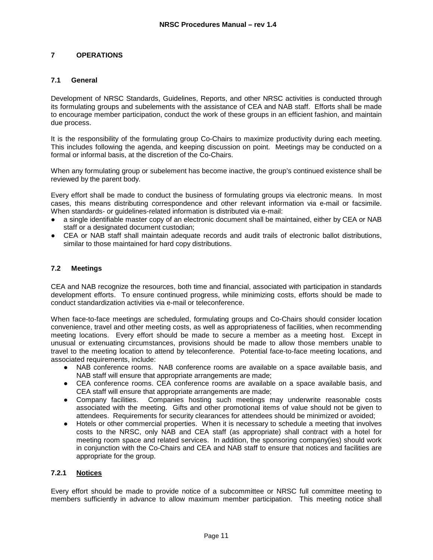# **7 OPERATIONS**

### **7.1 General**

Development of NRSC Standards, Guidelines, Reports, and other NRSC activities is conducted through its formulating groups and subelements with the assistance of CEA and NAB staff. Efforts shall be made to encourage member participation, conduct the work of these groups in an efficient fashion, and maintain due process.

It is the responsibility of the formulating group Co-Chairs to maximize productivity during each meeting. This includes following the agenda, and keeping discussion on point. Meetings may be conducted on a formal or informal basis, at the discretion of the Co-Chairs.

When any formulating group or subelement has become inactive, the group's continued existence shall be reviewed by the parent body.

Every effort shall be made to conduct the business of formulating groups via electronic means. In most cases, this means distributing correspondence and other relevant information via e-mail or facsimile. When standards- or guidelines-related information is distributed via e-mail:

- a single identifiable master copy of an electronic document shall be maintained, either by CEA or NAB staff or a designated document custodian;
- CEA or NAB staff shall maintain adequate records and audit trails of electronic ballot distributions, similar to those maintained for hard copy distributions.

#### **7.2 Meetings**

CEA and NAB recognize the resources, both time and financial, associated with participation in standards development efforts. To ensure continued progress, while minimizing costs, efforts should be made to conduct standardization activities via e-mail or teleconference.

When face-to-face meetings are scheduled, formulating groups and Co-Chairs should consider location convenience, travel and other meeting costs, as well as appropriateness of facilities, when recommending meeting locations. Every effort should be made to secure a member as a meeting host. Except in unusual or extenuating circumstances, provisions should be made to allow those members unable to travel to the meeting location to attend by teleconference. Potential face-to-face meeting locations, and associated requirements, include:

- NAB conference rooms. NAB conference rooms are available on a space available basis, and NAB staff will ensure that appropriate arrangements are made;
- CEA conference rooms. CEA conference rooms are available on a space available basis, and CEA staff will ensure that appropriate arrangements are made;
- Company facilities. Companies hosting such meetings may underwrite reasonable costs associated with the meeting. Gifts and other promotional items of value should not be given to attendees. Requirements for security clearances for attendees should be minimized or avoided;
- Hotels or other commercial properties. When it is necessary to schedule a meeting that involves costs to the NRSC, only NAB and CEA staff (as appropriate) shall contract with a hotel for meeting room space and related services. In addition, the sponsoring company(ies) should work in conjunction with the Co-Chairs and CEA and NAB staff to ensure that notices and facilities are appropriate for the group.

### **7.2.1 Notices**

Every effort should be made to provide notice of a subcommittee or NRSC full committee meeting to members sufficiently in advance to allow maximum member participation. This meeting notice shall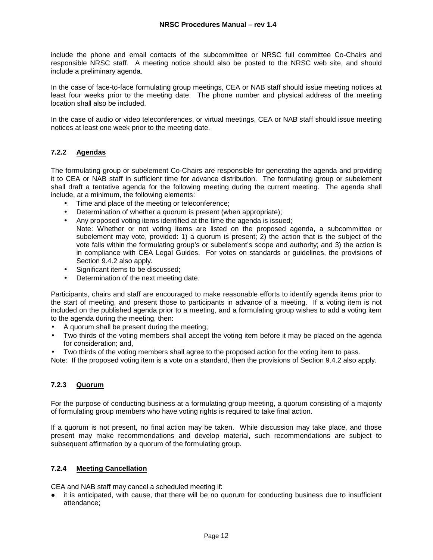include the phone and email contacts of the subcommittee or NRSC full committee Co-Chairs and responsible NRSC staff. A meeting notice should also be posted to the NRSC web site, and should include a preliminary agenda.

In the case of face-to-face formulating group meetings, CEA or NAB staff should issue meeting notices at least four weeks prior to the meeting date. The phone number and physical address of the meeting location shall also be included.

In the case of audio or video teleconferences, or virtual meetings, CEA or NAB staff should issue meeting notices at least one week prior to the meeting date.

# **7.2.2 Agendas**

The formulating group or subelement Co-Chairs are responsible for generating the agenda and providing it to CEA or NAB staff in sufficient time for advance distribution. The formulating group or subelement shall draft a tentative agenda for the following meeting during the current meeting. The agenda shall include, at a minimum, the following elements:

- Time and place of the meeting or teleconference;
- Determination of whether a quorum is present (when appropriate);
- Any proposed voting items identified at the time the agenda is issued; Note: Whether or not voting items are listed on the proposed agenda, a subcommittee or subelement may vote, provided: 1) a quorum is present; 2) the action that is the subject of the vote falls within the formulating group's or subelement's scope and authority; and 3) the action is in compliance with CEA Legal Guides. For votes on standards or guidelines, the provisions of
- Section 9.4.2 also apply. • Significant items to be discussed;
- Determination of the next meeting date.

Participants, chairs and staff are encouraged to make reasonable efforts to identify agenda items prior to the start of meeting, and present those to participants in advance of a meeting. If a voting item is not included on the published agenda prior to a meeting, and a formulating group wishes to add a voting item to the agenda during the meeting, then:

- A quorum shall be present during the meeting;
- Two thirds of the voting members shall accept the voting item before it may be placed on the agenda for consideration; and,
- Two thirds of the voting members shall agree to the proposed action for the voting item to pass.

Note: If the proposed voting item is a vote on a standard, then the provisions of Section 9.4.2 also apply.

# **7.2.3 Quorum**

For the purpose of conducting business at a formulating group meeting, a quorum consisting of a majority of formulating group members who have voting rights is required to take final action.

If a quorum is not present, no final action may be taken. While discussion may take place, and those present may make recommendations and develop material, such recommendations are subject to subsequent affirmation by a quorum of the formulating group.

# **7.2.4 Meeting Cancellation**

CEA and NAB staff may cancel a scheduled meeting if:

● it is anticipated, with cause, that there will be no quorum for conducting business due to insufficient attendance;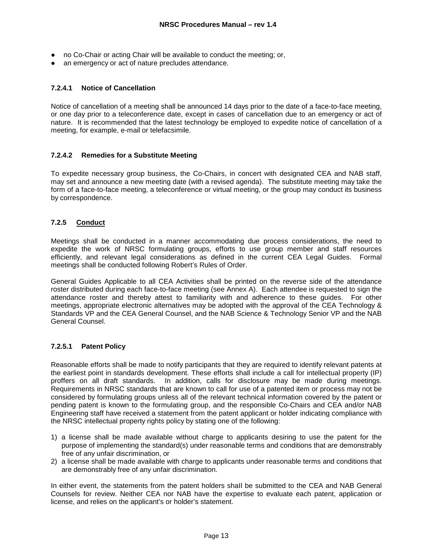- no Co-Chair or acting Chair will be available to conduct the meeting; or,
- an emergency or act of nature precludes attendance.

# **7.2.4.1 Notice of Cancellation**

Notice of cancellation of a meeting shall be announced 14 days prior to the date of a face-to-face meeting, or one day prior to a teleconference date, except in cases of cancellation due to an emergency or act of nature. It is recommended that the latest technology be employed to expedite notice of cancellation of a meeting, for example, e-mail or telefacsimile.

# **7.2.4.2 Remedies for a Substitute Meeting**

To expedite necessary group business, the Co-Chairs, in concert with designated CEA and NAB staff, may set and announce a new meeting date (with a revised agenda). The substitute meeting may take the form of a face-to-face meeting, a teleconference or virtual meeting, or the group may conduct its business by correspondence.

# **7.2.5 Conduct**

Meetings shall be conducted in a manner accommodating due process considerations, the need to expedite the work of NRSC formulating groups, efforts to use group member and staff resources efficiently, and relevant legal considerations as defined in the current CEA Legal Guides. Formal meetings shall be conducted following Robert's Rules of Order.

General Guides Applicable to all CEA Activities shall be printed on the reverse side of the attendance roster distributed during each face-to-face meeting (see Annex A). Each attendee is requested to sign the attendance roster and thereby attest to familiarity with and adherence to these guides. For other meetings, appropriate electronic alternatives may be adopted with the approval of the CEA Technology & Standards VP and the CEA General Counsel, and the NAB Science & Technology Senior VP and the NAB General Counsel.

# **7.2.5.1 Patent Policy**

Reasonable efforts shall be made to notify participants that they are required to identify relevant patents at the earliest point in standards development. These efforts shall include a call for intellectual property (IP) proffers on all draft standards. In addition, calls for disclosure may be made during meetings. Requirements in NRSC standards that are known to call for use of a patented item or process may not be considered by formulating groups unless all of the relevant technical information covered by the patent or pending patent is known to the formulating group, and the responsible Co-Chairs and CEA and/or NAB Engineering staff have received a statement from the patent applicant or holder indicating compliance with the NRSC intellectual property rights policy by stating one of the following:

- 1) a license shall be made available without charge to applicants desiring to use the patent for the purpose of implementing the standard(s) under reasonable terms and conditions that are demonstrably free of any unfair discrimination, or
- 2) a license shall be made available with charge to applicants under reasonable terms and conditions that are demonstrably free of any unfair discrimination.

In either event, the statements from the patent holders shaII be submitted to the CEA and NAB General Counsels for review. Neither CEA nor NAB have the expertise to evaluate each patent, application or license, and relies on the applicant's or holder's statement.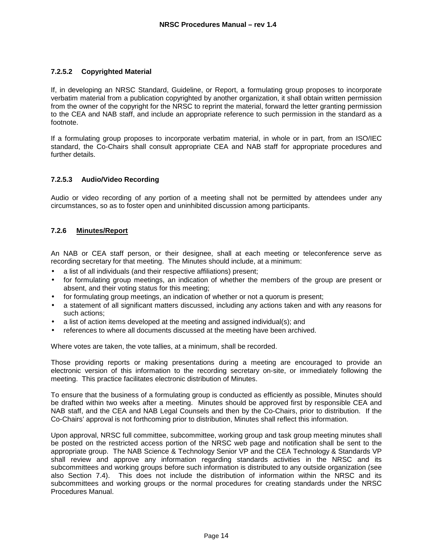# **7.2.5.2 Copyrighted Material**

If, in developing an NRSC Standard, Guideline, or Report, a formulating group proposes to incorporate verbatim material from a publication copyrighted by another organization, it shall obtain written permission from the owner of the copyright for the NRSC to reprint the material, forward the letter granting permission to the CEA and NAB staff, and include an appropriate reference to such permission in the standard as a footnote.

If a formulating group proposes to incorporate verbatim material, in whole or in part, from an ISO/IEC standard, the Co-Chairs shall consult appropriate CEA and NAB staff for appropriate procedures and further details.

# **7.2.5.3 Audio/Video Recording**

Audio or video recording of any portion of a meeting shall not be permitted by attendees under any circumstances, so as to foster open and uninhibited discussion among participants.

# **7.2.6 Minutes/Report**

An NAB or CEA staff person, or their designee, shall at each meeting or teleconference serve as recording secretary for that meeting. The Minutes should include, at a minimum:

- a list of all individuals (and their respective affiliations) present;
- for formulating group meetings, an indication of whether the members of the group are present or absent, and their voting status for this meeting;
- for formulating group meetings, an indication of whether or not a quorum is present;
- a statement of all significant matters discussed, including any actions taken and with any reasons for such actions;
- a list of action items developed at the meeting and assigned individual(s); and
- references to where all documents discussed at the meeting have been archived.

Where votes are taken, the vote tallies, at a minimum, shall be recorded.

Those providing reports or making presentations during a meeting are encouraged to provide an electronic version of this information to the recording secretary on-site, or immediately following the meeting. This practice facilitates electronic distribution of Minutes.

To ensure that the business of a formulating group is conducted as efficiently as possible, Minutes should be drafted within two weeks after a meeting. Minutes should be approved first by responsible CEA and NAB staff, and the CEA and NAB Legal Counsels and then by the Co-Chairs, prior to distribution. If the Co-Chairs' approval is not forthcoming prior to distribution, Minutes shall reflect this information.

Upon approval, NRSC full committee, subcommittee, working group and task group meeting minutes shall be posted on the restricted access portion of the NRSC web page and notification shall be sent to the appropriate group. The NAB Science & Technology Senior VP and the CEA Technology & Standards VP shall review and approve any information regarding standards activities in the NRSC and its subcommittees and working groups before such information is distributed to any outside organization (see also Section 7.4). This does not include the distribution of information within the NRSC and its subcommittees and working groups or the normal procedures for creating standards under the NRSC Procedures Manual.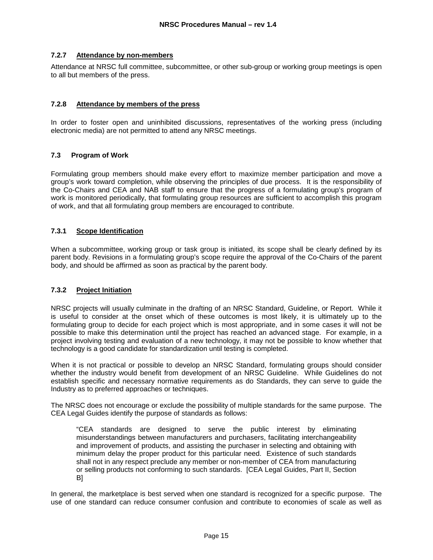#### **7.2.7 Attendance by non-members**

Attendance at NRSC full committee, subcommittee, or other sub-group or working group meetings is open to all but members of the press.

### **7.2.8 Attendance by members of the press**

In order to foster open and uninhibited discussions, representatives of the working press (including electronic media) are not permitted to attend any NRSC meetings.

# **7.3 Program of Work**

Formulating group members should make every effort to maximize member participation and move a group's work toward completion, while observing the principles of due process. It is the responsibility of the Co-Chairs and CEA and NAB staff to ensure that the progress of a formulating group's program of work is monitored periodically, that formulating group resources are sufficient to accomplish this program of work, and that all formulating group members are encouraged to contribute.

# **7.3.1 Scope Identification**

When a subcommittee, working group or task group is initiated, its scope shall be clearly defined by its parent body. Revisions in a formulating group's scope require the approval of the Co-Chairs of the parent body, and should be affirmed as soon as practical by the parent body.

#### **7.3.2 Project Initiation**

NRSC projects will usually culminate in the drafting of an NRSC Standard, Guideline, or Report. While it is useful to consider at the onset which of these outcomes is most likely, it is ultimately up to the formulating group to decide for each project which is most appropriate, and in some cases it will not be possible to make this determination until the project has reached an advanced stage. For example, in a project involving testing and evaluation of a new technology, it may not be possible to know whether that technology is a good candidate for standardization until testing is completed.

When it is not practical or possible to develop an NRSC Standard, formulating groups should consider whether the industry would benefit from development of an NRSC Guideline. While Guidelines do not establish specific and necessary normative requirements as do Standards, they can serve to guide the Industry as to preferred approaches or techniques.

The NRSC does not encourage or exclude the possibility of multiple standards for the same purpose. The CEA Legal Guides identify the purpose of standards as follows:

"CEA standards are designed to serve the public interest by eliminating misunderstandings between manufacturers and purchasers, facilitating interchangeability and improvement of products, and assisting the purchaser in selecting and obtaining with minimum delay the proper product for this particular need. Existence of such standards shall not in any respect preclude any member or non-member of CEA from manufacturing or selling products not conforming to such standards. [CEA Legal Guides, Part II, Section B]

In general, the marketplace is best served when one standard is recognized for a specific purpose. The use of one standard can reduce consumer confusion and contribute to economies of scale as well as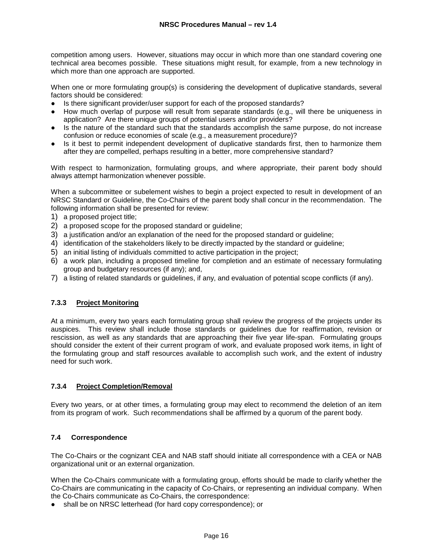competition among users. However, situations may occur in which more than one standard covering one technical area becomes possible. These situations might result, for example, from a new technology in which more than one approach are supported.

When one or more formulating group(s) is considering the development of duplicative standards, several factors should be considered:

- Is there significant provider/user support for each of the proposed standards?
- How much overlap of purpose will result from separate standards (e.g., will there be uniqueness in application? Are there unique groups of potential users and/or providers?
- Is the nature of the standard such that the standards accomplish the same purpose, do not increase confusion or reduce economies of scale (e.g., a measurement procedure)?
- Is it best to permit independent development of duplicative standards first, then to harmonize them after they are compelled, perhaps resulting in a better, more comprehensive standard?

With respect to harmonization, formulating groups, and where appropriate, their parent body should always attempt harmonization whenever possible.

When a subcommittee or subelement wishes to begin a project expected to result in development of an NRSC Standard or Guideline, the Co-Chairs of the parent body shall concur in the recommendation. The following information shall be presented for review:

- 1) a proposed project title;
- 2) a proposed scope for the proposed standard or guideline;
- 3) a justification and/or an explanation of the need for the proposed standard or guideline;
- 4) identification of the stakeholders likely to be directly impacted by the standard or guideline;
- 5) an initial listing of individuals committed to active participation in the project;
- 6) a work plan, including a proposed timeline for completion and an estimate of necessary formulating group and budgetary resources (if any); and,
- 7) a listing of related standards or guidelines, if any, and evaluation of potential scope conflicts (if any).

# **7.3.3 Project Monitoring**

At a minimum, every two years each formulating group shall review the progress of the projects under its auspices. This review shall include those standards or guidelines due for reaffirmation, revision or rescission, as well as any standards that are approaching their five year life-span. Formulating groups should consider the extent of their current program of work, and evaluate proposed work items, in light of the formulating group and staff resources available to accomplish such work, and the extent of industry need for such work.

#### **7.3.4 Project Completion/Removal**

Every two years, or at other times, a formulating group may elect to recommend the deletion of an item from its program of work. Such recommendations shall be affirmed by a quorum of the parent body.

#### **7.4 Correspondence**

The Co-Chairs or the cognizant CEA and NAB staff should initiate all correspondence with a CEA or NAB organizational unit or an external organization.

When the Co-Chairs communicate with a formulating group, efforts should be made to clarify whether the Co-Chairs are communicating in the capacity of Co-Chairs, or representing an individual company. When the Co-Chairs communicate as Co-Chairs, the correspondence:

● shall be on NRSC letterhead (for hard copy correspondence); or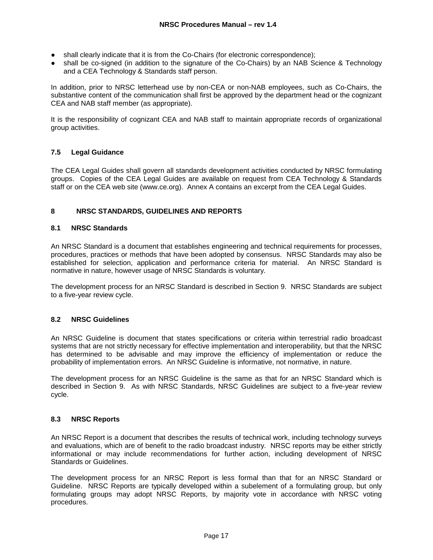- shall clearly indicate that it is from the Co-Chairs (for electronic correspondence);
- shall be co-signed (in addition to the signature of the Co-Chairs) by an NAB Science & Technology and a CEA Technology & Standards staff person.

In addition, prior to NRSC letterhead use by non-CEA or non-NAB employees, such as Co-Chairs, the substantive content of the communication shall first be approved by the department head or the cognizant CEA and NAB staff member (as appropriate).

It is the responsibility of cognizant CEA and NAB staff to maintain appropriate records of organizational group activities.

# **7.5 Legal Guidance**

The CEA Legal Guides shall govern all standards development activities conducted by NRSC formulating groups. Copies of the CEA Legal Guides are available on request from CEA Technology & Standards staff or on the CEA web site (www.ce.org). Annex A contains an excerpt from the CEA Legal Guides.

#### **8 NRSC STANDARDS, GUIDELINES AND REPORTS**

# **8.1 NRSC Standards**

An NRSC Standard is a document that establishes engineering and technical requirements for processes, procedures, practices or methods that have been adopted by consensus. NRSC Standards may also be established for selection, application and performance criteria for material. An NRSC Standard is normative in nature, however usage of NRSC Standards is voluntary.

The development process for an NRSC Standard is described in Section 9. NRSC Standards are subject to a five-year review cycle.

#### **8.2 NRSC Guidelines**

An NRSC Guideline is document that states specifications or criteria within terrestrial radio broadcast systems that are not strictly necessary for effective implementation and interoperability, but that the NRSC has determined to be advisable and may improve the efficiency of implementation or reduce the probability of implementation errors. An NRSC Guideline is informative, not normative, in nature.

The development process for an NRSC Guideline is the same as that for an NRSC Standard which is described in Section 9. As with NRSC Standards, NRSC Guidelines are subject to a five-year review cycle.

#### **8.3 NRSC Reports**

An NRSC Report is a document that describes the results of technical work, including technology surveys and evaluations, which are of benefit to the radio broadcast industry. NRSC reports may be either strictly informational or may include recommendations for further action, including development of NRSC Standards or Guidelines.

The development process for an NRSC Report is less formal than that for an NRSC Standard or Guideline. NRSC Reports are typically developed within a subelement of a formulating group, but only formulating groups may adopt NRSC Reports, by majority vote in accordance with NRSC voting procedures.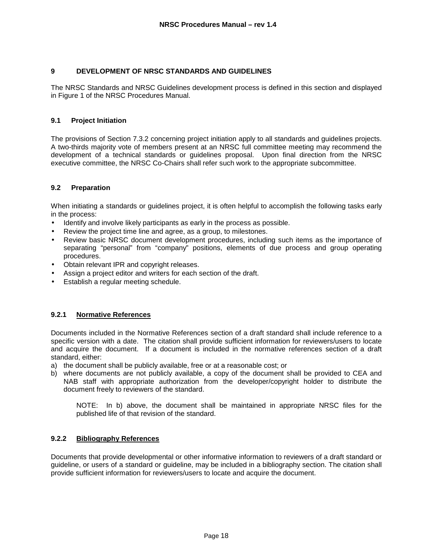# **9 DEVELOPMENT OF NRSC STANDARDS AND GUIDELINES**

The NRSC Standards and NRSC Guidelines development process is defined in this section and displayed in Figure 1 of the NRSC Procedures Manual.

# **9.1 Project Initiation**

The provisions of Section 7.3.2 concerning project initiation apply to all standards and guidelines projects. A two-thirds majority vote of members present at an NRSC full committee meeting may recommend the development of a technical standards or guidelines proposal. Upon final direction from the NRSC executive committee, the NRSC Co-Chairs shall refer such work to the appropriate subcommittee.

# **9.2 Preparation**

When initiating a standards or guidelines project, it is often helpful to accomplish the following tasks early in the process:

- Identify and involve likely participants as early in the process as possible.
- Review the project time line and agree, as a group, to milestones.
- Review basic NRSC document development procedures, including such items as the importance of separating "personal" from "company" positions, elements of due process and group operating procedures.
- Obtain relevant IPR and copyright releases.
- Assign a project editor and writers for each section of the draft.
- Establish a regular meeting schedule.

### **9.2.1 Normative References**

Documents included in the Normative References section of a draft standard shall include reference to a specific version with a date. The citation shall provide sufficient information for reviewers/users to locate and acquire the document. If a document is included in the normative references section of a draft standard, either:

- a) the document shall be publicly available, free or at a reasonable cost; or
- b) where documents are not publicly available, a copy of the document shall be provided to CEA and NAB staff with appropriate authorization from the developer/copyright holder to distribute the document freely to reviewers of the standard.

NOTE: In b) above, the document shall be maintained in appropriate NRSC files for the published life of that revision of the standard.

#### **9.2.2 Bibliography References**

Documents that provide developmental or other informative information to reviewers of a draft standard or guideline, or users of a standard or guideline, may be included in a bibliography section. The citation shall provide sufficient information for reviewers/users to locate and acquire the document.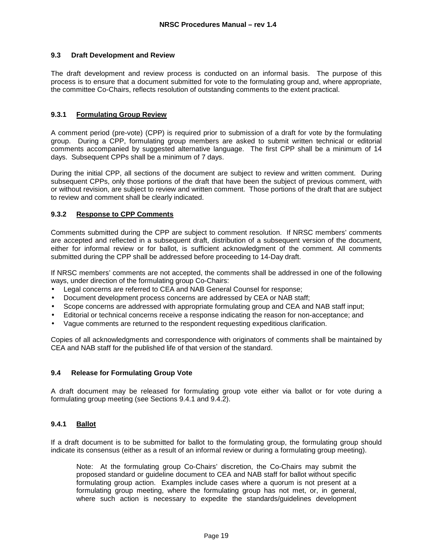### **9.3 Draft Development and Review**

The draft development and review process is conducted on an informal basis. The purpose of this process is to ensure that a document submitted for vote to the formulating group and, where appropriate, the committee Co-Chairs, reflects resolution of outstanding comments to the extent practical.

# **9.3.1 Formulating Group Review**

A comment period (pre-vote) (CPP) is required prior to submission of a draft for vote by the formulating group. During a CPP, formulating group members are asked to submit written technical or editorial comments accompanied by suggested alternative language. The first CPP shall be a minimum of 14 days. Subsequent CPPs shall be a minimum of 7 days.

During the initial CPP, all sections of the document are subject to review and written comment. During subsequent CPPs, only those portions of the draft that have been the subject of previous comment, with or without revision, are subject to review and written comment. Those portions of the draft that are subject to review and comment shall be clearly indicated.

# **9.3.2 Response to CPP Comments**

Comments submitted during the CPP are subject to comment resolution. If NRSC members' comments are accepted and reflected in a subsequent draft, distribution of a subsequent version of the document, either for informal review or for ballot, is sufficient acknowledgment of the comment. All comments submitted during the CPP shall be addressed before proceeding to 14-Day draft.

If NRSC members' comments are not accepted, the comments shall be addressed in one of the following ways, under direction of the formulating group Co-Chairs:

- Legal concerns are referred to CEA and NAB General Counsel for response;
- Document development process concerns are addressed by CEA or NAB staff;
- Scope concerns are addressed with appropriate formulating group and CEA and NAB staff input;
- Editorial or technical concerns receive a response indicating the reason for non-acceptance; and
- Vague comments are returned to the respondent requesting expeditious clarification.

Copies of all acknowledgments and correspondence with originators of comments shall be maintained by CEA and NAB staff for the published life of that version of the standard.

#### **9.4 Release for Formulating Group Vote**

A draft document may be released for formulating group vote either via ballot or for vote during a formulating group meeting (see Sections 9.4.1 and 9.4.2).

# **9.4.1 Ballot**

If a draft document is to be submitted for ballot to the formulating group, the formulating group should indicate its consensus (either as a result of an informal review or during a formulating group meeting).

Note: At the formulating group Co-Chairs' discretion, the Co-Chairs may submit the proposed standard or guideline document to CEA and NAB staff for ballot without specific formulating group action. Examples include cases where a quorum is not present at a formulating group meeting, where the formulating group has not met, or, in general, where such action is necessary to expedite the standards/guidelines development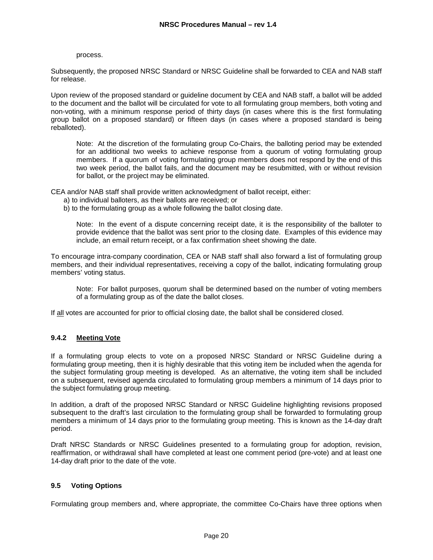#### process.

Subsequently, the proposed NRSC Standard or NRSC Guideline shall be forwarded to CEA and NAB staff for release.

Upon review of the proposed standard or guideline document by CEA and NAB staff, a ballot will be added to the document and the ballot will be circulated for vote to all formulating group members, both voting and non-voting, with a minimum response period of thirty days (in cases where this is the first formulating group ballot on a proposed standard) or fifteen days (in cases where a proposed standard is being reballoted).

Note: At the discretion of the formulating group Co-Chairs, the balloting period may be extended for an additional two weeks to achieve response from a quorum of voting formulating group members. If a quorum of voting formulating group members does not respond by the end of this two week period, the ballot fails, and the document may be resubmitted, with or without revision for ballot, or the project may be eliminated.

CEA and/or NAB staff shall provide written acknowledgment of ballot receipt, either:

- a) to individual balloters, as their ballots are received; or
- b) to the formulating group as a whole following the ballot closing date.

Note: In the event of a dispute concerning receipt date, it is the responsibility of the balloter to provide evidence that the ballot was sent prior to the closing date. Examples of this evidence may include, an email return receipt, or a fax confirmation sheet showing the date.

To encourage intra-company coordination, CEA or NAB staff shall also forward a list of formulating group members, and their individual representatives, receiving a copy of the ballot, indicating formulating group members' voting status.

Note: For ballot purposes, quorum shall be determined based on the number of voting members of a formulating group as of the date the ballot closes.

If all votes are accounted for prior to official closing date, the ballot shall be considered closed.

#### **9.4.2 Meeting Vote**

If a formulating group elects to vote on a proposed NRSC Standard or NRSC Guideline during a formulating group meeting, then it is highly desirable that this voting item be included when the agenda for the subject formulating group meeting is developed. As an alternative, the voting item shall be included on a subsequent, revised agenda circulated to formulating group members a minimum of 14 days prior to the subject formulating group meeting.

In addition, a draft of the proposed NRSC Standard or NRSC Guideline highlighting revisions proposed subsequent to the draft's last circulation to the formulating group shall be forwarded to formulating group members a minimum of 14 days prior to the formulating group meeting. This is known as the 14-day draft period.

Draft NRSC Standards or NRSC Guidelines presented to a formulating group for adoption, revision, reaffirmation, or withdrawal shall have completed at least one comment period (pre-vote) and at least one 14-day draft prior to the date of the vote.

#### **9.5 Voting Options**

Formulating group members and, where appropriate, the committee Co-Chairs have three options when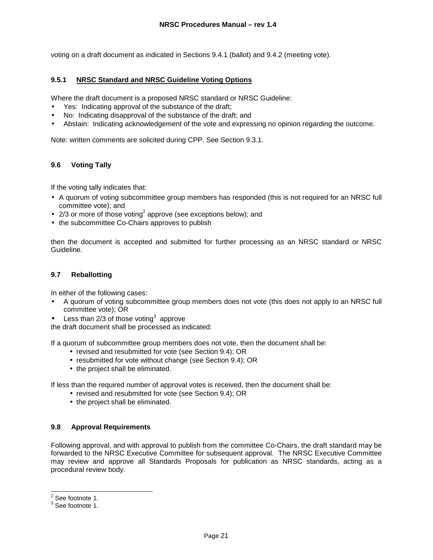voting on a draft document as indicated in Sections 9.4.1 (ballot) and 9.4.2 (meeting vote).

# **9.5.1 NRSC Standard and NRSC Guideline Voting Options**

Where the draft document is a proposed NRSC standard or NRSC Guideline:

- Yes: Indicating approval of the substance of the draft;
- No: Indicating disapproval of the substance of the draft; and
- Abstain: Indicating acknowledgement of the vote and expressing no opinion regarding the outcome.

Note: written comments are solicited during CPP. See Section 9.3.1.

# **9.6 Voting Tally**

If the voting tally indicates that:

- A quorum of voting subcommittee group members has responded (this is not required for an NRSC full committee vote); and
- 2/3 or more of those voting<sup>2</sup> approve (see exceptions below); and
- the subcommittee Co-Chairs approves to publish

then the document is accepted and submitted for further processing as an NRSC standard or NRSC Guideline.

# **9.7 Reballotting**

In either of the following cases:

- A quorum of voting subcommittee group members does not vote (this does not apply to an NRSC full committee vote); OR
- Less than 2/3 of those voting<sup>3</sup> approve

the draft document shall be processed as indicated:

If a quorum of subcommittee group members does not vote, then the document shall be:

- revised and resubmitted for vote (see Section 9.4); OR
- resubmitted for vote without change (see Section 9.4); OR
- the project shall be eliminated.

If less than the required number of approval votes is received, then the document shall be:

- revised and resubmitted for vote (see Section 9.4); OR
- the project shall be eliminated.

#### **9.8 Approval Requirements**

Following approval, and with approval to publish from the committee Co-Chairs, the draft standard may be forwarded to the NRSC Executive Committee for subsequent approval. The NRSC Executive Committee may review and approve all Standards Proposals for publication as NRSC standards, acting as a procedural review body.

 $\frac{2}{3}$  See footnote 1.

 $3$  See footnote 1.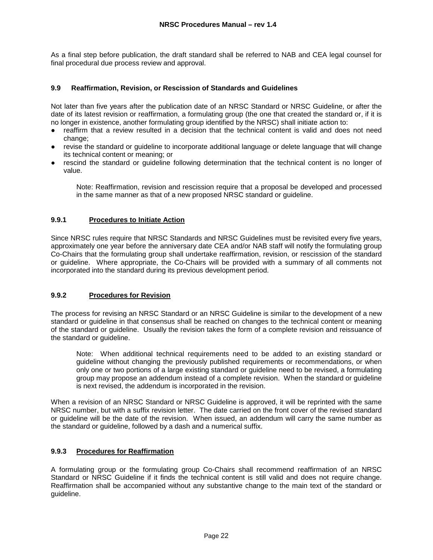As a final step before publication, the draft standard shall be referred to NAB and CEA legal counsel for final procedural due process review and approval.

# **9.9 Reaffirmation, Revision, or Rescission of Standards and Guidelines**

Not later than five years after the publication date of an NRSC Standard or NRSC Guideline, or after the date of its latest revision or reaffirmation, a formulating group (the one that created the standard or, if it is no longer in existence, another formulating group identified by the NRSC) shall initiate action to:

- reaffirm that a review resulted in a decision that the technical content is valid and does not need change;
- revise the standard or guideline to incorporate additional language or delete language that will change its technical content or meaning; or
- rescind the standard or quideline following determination that the technical content is no longer of value.

Note: Reaffirmation, revision and rescission require that a proposal be developed and processed in the same manner as that of a new proposed NRSC standard or guideline.

# **9.9.1 Procedures to Initiate Action**

Since NRSC rules require that NRSC Standards and NRSC Guidelines must be revisited every five years, approximately one year before the anniversary date CEA and/or NAB staff will notify the formulating group Co-Chairs that the formulating group shall undertake reaffirmation, revision, or rescission of the standard or guideline. Where appropriate, the Co-Chairs will be provided with a summary of all comments not incorporated into the standard during its previous development period.

# **9.9.2 Procedures for Revision**

The process for revising an NRSC Standard or an NRSC Guideline is similar to the development of a new standard or guideline in that consensus shall be reached on changes to the technical content or meaning of the standard or guideline. Usually the revision takes the form of a complete revision and reissuance of the standard or guideline.

Note: When additional technical requirements need to be added to an existing standard or guideline without changing the previously published requirements or recommendations, or when only one or two portions of a large existing standard or guideline need to be revised, a formulating group may propose an addendum instead of a complete revision. When the standard or guideline is next revised, the addendum is incorporated in the revision.

When a revision of an NRSC Standard or NRSC Guideline is approved, it will be reprinted with the same NRSC number, but with a suffix revision letter. The date carried on the front cover of the revised standard or guideline will be the date of the revision. When issued, an addendum will carry the same number as the standard or guideline, followed by a dash and a numerical suffix.

#### **9.9.3 Procedures for Reaffirmation**

A formulating group or the formulating group Co-Chairs shall recommend reaffirmation of an NRSC Standard or NRSC Guideline if it finds the technical content is still valid and does not require change. Reaffirmation shall be accompanied without any substantive change to the main text of the standard or guideline.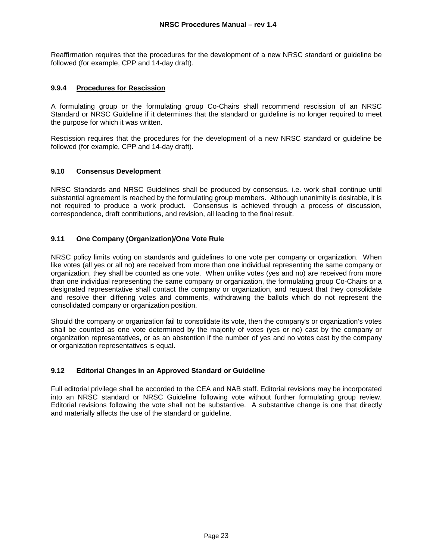Reaffirmation requires that the procedures for the development of a new NRSC standard or guideline be followed (for example, CPP and 14-day draft).

# **9.9.4 Procedures for Rescission**

A formulating group or the formulating group Co-Chairs shall recommend rescission of an NRSC Standard or NRSC Guideline if it determines that the standard or guideline is no longer required to meet the purpose for which it was written.

Rescission requires that the procedures for the development of a new NRSC standard or guideline be followed (for example, CPP and 14-day draft).

# **9.10 Consensus Development**

NRSC Standards and NRSC Guidelines shall be produced by consensus, i.e. work shall continue until substantial agreement is reached by the formulating group members. Although unanimity is desirable, it is not required to produce a work product. Consensus is achieved through a process of discussion, correspondence, draft contributions, and revision, all leading to the final result.

# **9.11 One Company (Organization)/One Vote Rule**

NRSC policy limits voting on standards and guidelines to one vote per company or organization. When like votes (all yes or all no) are received from more than one individual representing the same company or organization, they shall be counted as one vote. When unlike votes (yes and no) are received from more than one individual representing the same company or organization, the formulating group Co-Chairs or a designated representative shall contact the company or organization, and request that they consolidate and resolve their differing votes and comments, withdrawing the ballots which do not represent the consolidated company or organization position.

Should the company or organization fail to consolidate its vote, then the company's or organization's votes shall be counted as one vote determined by the majority of votes (yes or no) cast by the company or organization representatives, or as an abstention if the number of yes and no votes cast by the company or organization representatives is equal.

#### **9.12 Editorial Changes in an Approved Standard or Guideline**

Full editorial privilege shall be accorded to the CEA and NAB staff. Editorial revisions may be incorporated into an NRSC standard or NRSC Guideline following vote without further formulating group review. Editorial revisions following the vote shall not be substantive. A substantive change is one that directly and materially affects the use of the standard or guideline.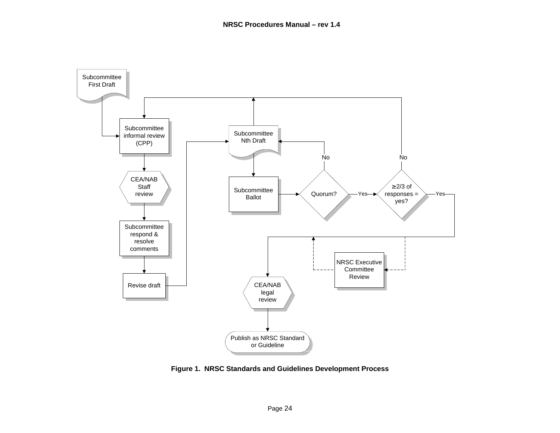

**Figure 1. NRSC Standards and Guidelines Development Process**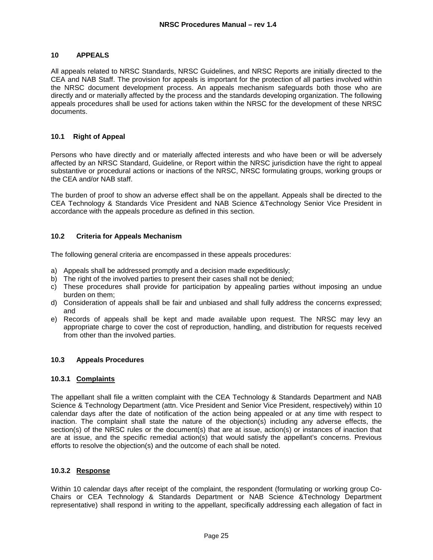#### **10 APPEALS**

All appeals related to NRSC Standards, NRSC Guidelines, and NRSC Reports are initially directed to the CEA and NAB Staff. The provision for appeals is important for the protection of all parties involved within the NRSC document development process. An appeals mechanism safeguards both those who are directly and or materially affected by the process and the standards developing organization. The following appeals procedures shall be used for actions taken within the NRSC for the development of these NRSC documents.

### **10.1 Right of Appeal**

Persons who have directly and or materially affected interests and who have been or will be adversely affected by an NRSC Standard, Guideline, or Report within the NRSC jurisdiction have the right to appeal substantive or procedural actions or inactions of the NRSC, NRSC formulating groups, working groups or the CEA and/or NAB staff.

The burden of proof to show an adverse effect shall be on the appellant. Appeals shall be directed to the CEA Technology & Standards Vice President and NAB Science &Technology Senior Vice President in accordance with the appeals procedure as defined in this section.

#### **10.2 Criteria for Appeals Mechanism**

The following general criteria are encompassed in these appeals procedures:

- a) Appeals shall be addressed promptly and a decision made expeditiously;
- b) The right of the involved parties to present their cases shall not be denied;
- c) These procedures shall provide for participation by appealing parties without imposing an undue burden on them;
- d) Consideration of appeals shall be fair and unbiased and shall fully address the concerns expressed; and
- e) Records of appeals shall be kept and made available upon request. The NRSC may levy an appropriate charge to cover the cost of reproduction, handling, and distribution for requests received from other than the involved parties.

#### **10.3 Appeals Procedures**

#### **10.3.1 Complaints**

The appellant shall file a written complaint with the CEA Technology & Standards Department and NAB Science & Technology Department (attn. Vice President and Senior Vice President, respectively) within 10 calendar days after the date of notification of the action being appealed or at any time with respect to inaction. The complaint shall state the nature of the objection(s) including any adverse effects, the section(s) of the NRSC rules or the document(s) that are at issue, action(s) or instances of inaction that are at issue, and the specific remedial action(s) that would satisfy the appellant's concerns. Previous efforts to resolve the objection(s) and the outcome of each shall be noted.

#### **10.3.2 Response**

Within 10 calendar days after receipt of the complaint, the respondent (formulating or working group Co-Chairs or CEA Technology & Standards Department or NAB Science &Technology Department representative) shall respond in writing to the appellant, specifically addressing each allegation of fact in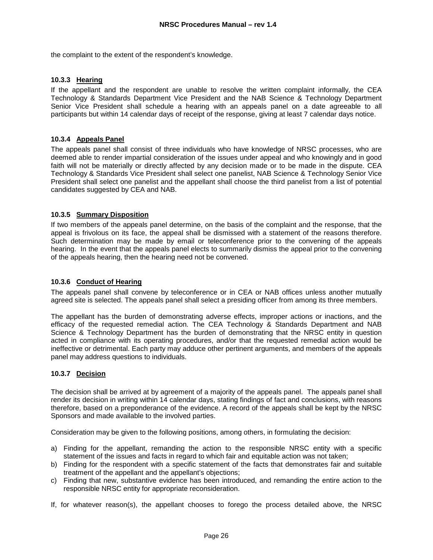the complaint to the extent of the respondent's knowledge.

# **10.3.3 Hearing**

If the appellant and the respondent are unable to resolve the written complaint informally, the CEA Technology & Standards Department Vice President and the NAB Science & Technology Department Senior Vice President shall schedule a hearing with an appeals panel on a date agreeable to all participants but within 14 calendar days of receipt of the response, giving at least 7 calendar days notice.

# **10.3.4 Appeals Panel**

The appeals panel shall consist of three individuals who have knowledge of NRSC processes, who are deemed able to render impartial consideration of the issues under appeal and who knowingly and in good faith will not be materially or directly affected by any decision made or to be made in the dispute. CEA Technology & Standards Vice President shall select one panelist, NAB Science & Technology Senior Vice President shall select one panelist and the appellant shall choose the third panelist from a list of potential candidates suggested by CEA and NAB.

# **10.3.5 Summary Disposition**

If two members of the appeals panel determine, on the basis of the complaint and the response, that the appeal is frivolous on its face, the appeal shall be dismissed with a statement of the reasons therefore. Such determination may be made by email or teleconference prior to the convening of the appeals hearing. In the event that the appeals panel elects to summarily dismiss the appeal prior to the convening of the appeals hearing, then the hearing need not be convened.

### **10.3.6 Conduct of Hearing**

The appeals panel shall convene by teleconference or in CEA or NAB offices unless another mutually agreed site is selected. The appeals panel shall select a presiding officer from among its three members.

The appellant has the burden of demonstrating adverse effects, improper actions or inactions, and the efficacy of the requested remedial action. The CEA Technology & Standards Department and NAB Science & Technology Department has the burden of demonstrating that the NRSC entity in question acted in compliance with its operating procedures, and/or that the requested remedial action would be ineffective or detrimental. Each party may adduce other pertinent arguments, and members of the appeals panel may address questions to individuals.

#### **10.3.7 Decision**

The decision shall be arrived at by agreement of a majority of the appeals panel. The appeals panel shall render its decision in writing within 14 calendar days, stating findings of fact and conclusions, with reasons therefore, based on a preponderance of the evidence. A record of the appeals shall be kept by the NRSC Sponsors and made available to the involved parties.

Consideration may be given to the following positions, among others, in formulating the decision:

- a) Finding for the appellant, remanding the action to the responsible NRSC entity with a specific statement of the issues and facts in regard to which fair and equitable action was not taken;
- b) Finding for the respondent with a specific statement of the facts that demonstrates fair and suitable treatment of the appellant and the appellant's objections;
- c) Finding that new, substantive evidence has been introduced, and remanding the entire action to the responsible NRSC entity for appropriate reconsideration.
- If, for whatever reason(s), the appellant chooses to forego the process detailed above, the NRSC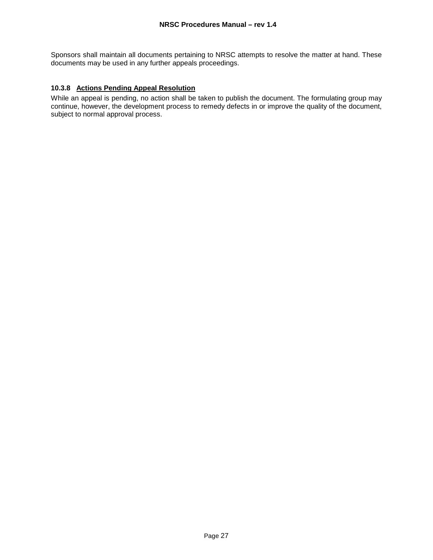Sponsors shall maintain all documents pertaining to NRSC attempts to resolve the matter at hand. These documents may be used in any further appeals proceedings.

# **10.3.8 Actions Pending Appeal Resolution**

While an appeal is pending, no action shall be taken to publish the document. The formulating group may continue, however, the development process to remedy defects in or improve the quality of the document, subject to normal approval process.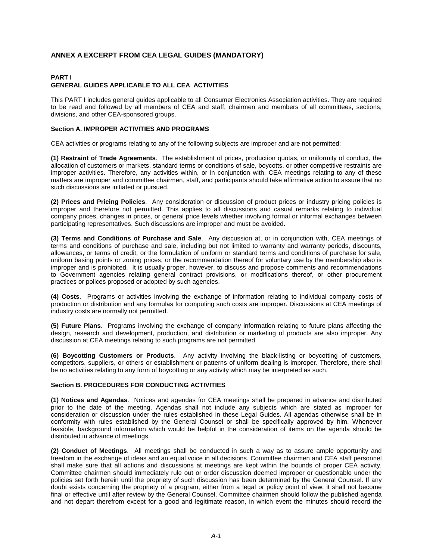# **ANNEX A EXCERPT FROM CEA LEGAL GUIDES (MANDATORY)**

#### **PART I GENERAL GUIDES APPLICABLE TO ALL CEA ACTIVITIES**

This PART I includes general guides applicable to all Consumer Electronics Association activities. They are required to be read and followed by all members of CEA and staff, chairmen and members of all committees, sections, divisions, and other CEA-sponsored groups.

#### **Section A. IMPROPER ACTIVITIES AND PROGRAMS**

CEA activities or programs relating to any of the following subjects are improper and are not permitted:

**(1) Restraint of Trade Agreements**. The establishment of prices, production quotas, or uniformity of conduct, the allocation of customers or markets, standard terms or conditions of sale, boycotts, or other competitive restraints are improper activities. Therefore, any activities within, or in conjunction with, CEA meetings relating to any of these matters are improper and committee chairmen, staff, and participants should take affirmative action to assure that no such discussions are initiated or pursued.

**(2) Prices and Pricing Policies**. Any consideration or discussion of product prices or industry pricing policies is improper and therefore not permitted. This applies to all discussions and casual remarks relating to individual company prices, changes in prices, or general price levels whether involving formal or informal exchanges between participating representatives. Such discussions are improper and must be avoided.

**(3) Terms and Conditions of Purchase and Sale**. Any discussion at, or in conjunction with, CEA meetings of terms and conditions of purchase and sale, including but not limited to warranty and warranty periods, discounts, allowances, or terms of credit, or the formulation of uniform or standard terms and conditions of purchase for sale, uniform basing points or zoning prices, or the recommendation thereof for voluntary use by the membership also is improper and is prohibited. It is usually proper, however, to discuss and propose comments and recommendations to Government agencies relating general contract provisions, or modifications thereof, or other procurement practices or polices proposed or adopted by such agencies.

**(4) Costs**. Programs or activities involving the exchange of information relating to individual company costs of production or distribution and any formulas for computing such costs are improper. Discussions at CEA meetings of industry costs are normally not permitted.

**(5) Future Plans**. Programs involving the exchange of company information relating to future plans affecting the design, research and development, production, and distribution or marketing of products are also improper. Any discussion at CEA meetings relating to such programs are not permitted.

**(6) Boycotting Customers or Products**. Any activity involving the black-listing or boycotting of customers, competitors, suppliers, or others or establishment or patterns of uniform dealing is improper. Therefore, there shall be no activities relating to any form of boycotting or any activity which may be interpreted as such.

#### **Section B. PROCEDURES FOR CONDUCTING ACTIVITIES**

**(1) Notices and Agendas**. Notices and agendas for CEA meetings shall be prepared in advance and distributed prior to the date of the meeting. Agendas shall not include any subjects which are stated as improper for consideration or discussion under the rules established in these Legal Guides. All agendas otherwise shall be in conformity with rules established by the General Counsel or shall be specifically approved by him. Whenever feasible, background information which would be helpful in the consideration of items on the agenda should be distributed in advance of meetings.

**(2) Conduct of Meetings**. All meetings shall be conducted in such a way as to assure ample opportunity and freedom in the exchange of ideas and an equal voice in all decisions. Committee chairmen and CEA staff personnel shall make sure that all actions and discussions at meetings are kept within the bounds of proper CEA activity. Committee chairmen should immediately rule out or order discussion deemed improper or questionable under the policies set forth herein until the propriety of such discussion has been determined by the General Counsel. If any doubt exists concerning the propriety of a program, either from a legal or policy point of view, it shall not become final or effective until after review by the General Counsel. Committee chairmen should follow the published agenda and not depart therefrom except for a good and legitimate reason, in which event the minutes should record the